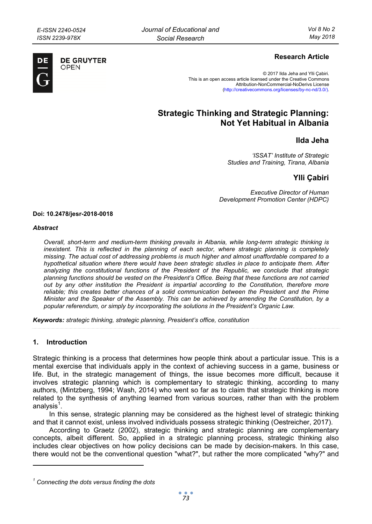

**DE GRUYTER** OPFN

## **Research Article**

© 2017 Ilda Jeha and Ylli Çabiri. This is an open access article licensed under the Creative Commons Attribution-NonCommercial-NoDerivs License (http://creativecommons.org/licenses/by-nc-nd/3.0/).

# **Strategic Thinking and Strategic Planning: Not Yet Habitual in Albania**

## **Ilda Jeha**

*'ISSAT' Institute of Strategic Studies and Training, Tirana, Albania* 

## **Ylli Çabiri**

*Executive Director of Human Development Promotion Center (HDPC)* 

#### **Doi: 10.2478/jesr-2018-0018**

#### *Abstract*

*Overall, short-term and medium-term thinking prevails in Albania, while long-term strategic thinking is inexistent. This is reflected in the planning of each sector, where strategic planning is completely missing. The actual cost of addressing problems is much higher and almost unaffordable compared to a hypothetical situation where there would have been strategic studies in place to anticipate them. After analyzing the constitutional functions of the President of the Republic, we conclude that strategic planning functions should be vested on the President's Office. Being that these functions are not carried out by any other institution the President is impartial according to the Constitution, therefore more reliable; this creates better chances of a solid communication between the President and the Prime Minister and the Speaker of the Assembly. This can be achieved by amending the Constitution, by a popular referendum, or simply by incorporating the solutions in the President's Organic Law.* 

*Keywords: strategic thinking, strategic planning, President's office, constitution* 

## **1. Introduction**

 $\overline{a}$ 

Strategic thinking is a process that determines how people think about a particular issue. This is a mental exercise that individuals apply in the context of achieving success in a game, business or life. But, in the strategic management of things, the issue becomes more difficult, because it involves strategic planning which is complementary to strategic thinking, according to many authors, (Mintzberg, 1994; Wash, 2014) who went so far as to claim that strategic thinking is more related to the synthesis of anything learned from various sources, rather than with the problem analysis<sup>1</sup>.

In this sense, strategic planning may be considered as the highest level of strategic thinking and that it cannot exist, unless involved individuals possess strategic thinking (Oestreicher, 2017).

According to Graetz (2002), strategic thinking and strategic planning are complementary concepts, albeit different. So, applied in a strategic planning process, strategic thinking also includes clear objectives on how policy decisions can be made by decision-makers. In this case, there would not be the conventional question "what?", but rather the more complicated "why?" and

*<sup>1</sup> Connecting the dots versus finding the dots*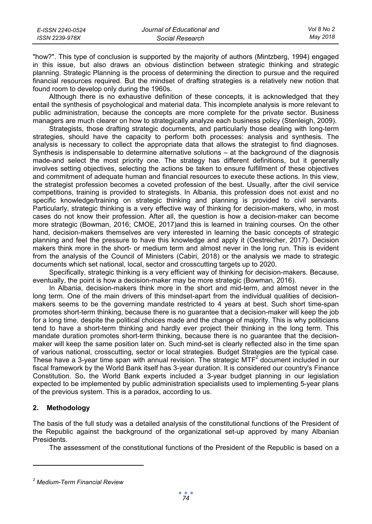| E-ISSN 2240-0524 | Journal of Educational and | Vol 8 No 2 |
|------------------|----------------------------|------------|
| ISSN 2239-978X   | Social Research            | May 2018   |

"how?". This type of conclusion is supported by the majority of authors (Mintzberg, 1994) engaged in this issue, but also draws an obvious distinction between strategic thinking and strategic planning. Strategic Planning is the process of determining the direction to pursue and the required financial resources required. But the mindset of drafting strategies is a relatively new notion that found room to develop only during the 1960s.

Although there is no exhaustive definition of these concepts, it is acknowledged that they entail the synthesis of psychological and material data. This incomplete analysis is more relevant to public administration, because the concepts are more complete for the private sector. Business managers are much clearer on how to strategically analyze each business policy (Stenleigh, 2009).

Strategists, those drafting strategic documents, and particularly those dealing with long-term strategies, should have the capacity to perform both processes: analysis and synthesis. The analysis is necessary to collect the appropriate data that allows the strategist to find diagnoses. Synthesis is indispensable to determine alternative solutions – at the background of the diagnosis made-and select the most priority one. The strategy has different definitions, but it generally involves setting objectives, selecting the actions be taken to ensure fulfillment of these objectives and commitment of adequate human and financial resources to execute these actions. In this view, the strategist profession becomes a coveted profession of the best. Usually, after the civil service competitions, training is provided to strategists. In Albania, this profession does not exist and no specific knowledge/training on strategic thinking and planning is provided to civil servants. Particularly, strategic thinking is a very effective way of thinking for decision-makers, who, in most cases do not know their profession. After all, the question is how a decision-maker can become more strategic (Bowman, 2016; CMOE, 2017)and this is learned in training courses. On the other hand, decision-makers themselves are very interested in learning the basic concepts of strategic planning and feel the pressure to have this knowledge and apply it (Oestreicher, 2017). Decision makers think more in the short- or medium term and almost never in the long run. This is evident from the analysis of the Council of Ministers (Cabiri, 2018) or the analysis we made to strategic documents which set national, local, sector and crosscutting targets up to 2020.

Specifically, strategic thinking is a very efficient way of thinking for decision-makers. Because, eventually, the point is how a decision-maker may be more strategic (Bowman, 2016).

In Albania, decision-makers think more in the short and mid-term, and almost never in the long term. One of the main drivers of this mindset-apart from the individual qualities of decisionmakers seems to be the governing mandate restricted to 4 years at best. Such short time-span promotes short-term thinking, because there is no guarantee that a decision-maker will keep the job for a long time, despite the political choices made and the change of majority. This is why politicians tend to have a short-term thinking and hardly ever project their thinking in the long term. This mandate duration promotes short-term thinking, because there is no guarantee that the decisionmaker will keep the same position later on. Such mind-set is clearly reflected also in the time span of various national, crosscutting, sector or local strategies. Budget Strategies are the typical case. These have a 3-year time span with annual revision. The strategic MTF<sup>2</sup> document included in our fiscal framework by the World Bank itself has 3-year duration. It is considered our country's Finance Constitution. So, the World Bank experts included a 3-year budget planning in our legislation expected to be implemented by public administration specialists used to implementing 5-year plans of the previous system. This is a paradox, according to us.

## **2. Methodology**

 $\overline{a}$ 

The basis of the full study was a detailed analysis of the constitutional functions of the President of the Republic against the background of the organizational set-up approved by many Albanian Presidents.

The assessment of the constitutional functions of the President of the Republic is based on a

*<sup>2</sup> Medium-Term Financial Review*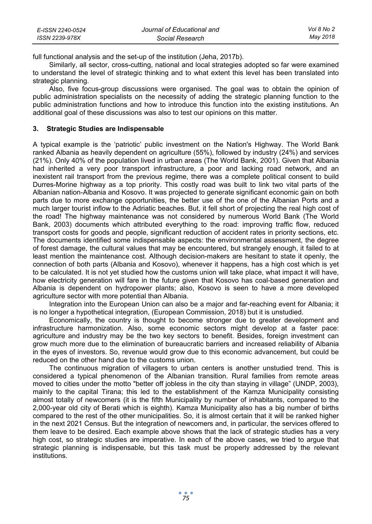| E-ISSN 2240-0524 | Journal of Educational and | Vol 8 No 2 |
|------------------|----------------------------|------------|
| ISSN 2239-978X   | Social Research            | Mav 2018   |

full functional analysis and the set-up of the institution (Jeha, 2017b).

Similarly, all sector, cross-cutting, national and local strategies adopted so far were examined to understand the level of strategic thinking and to what extent this level has been translated into strategic planning.

Also, five focus-group discussions were organised. The goal was to obtain the opinion of public administration specialists on the necessity of adding the strategic planning function to the public administration functions and how to introduce this function into the existing institutions. An additional goal of these discussions was also to test our opinions on this matter.

## **3. Strategic Studies are Indispensable**

A typical example is the 'patriotic' public investment on the Nation's Highway. The World Bank ranked Albania as heavily dependent on agriculture (55%), followed by industry (24%) and services (21%). Only 40% of the population lived in urban areas (The World Bank, 2001). Given that Albania had inherited a very poor transport infrastructure, a poor and lacking road network, and an inexistent rail transport from the previous regime, there was a complete political consent to build Durres-Morine highway as a top priority. This costly road was built to link two vital parts of the Albanian nation-Albania and Kosovo. It was projected to generate significant economic gain on both parts due to more exchange opportunities, the better use of the one of the Albanian Ports and a much larger tourist inflow to the Adriatic beaches. But, it fell short of projecting the real high cost of the road! The highway maintenance was not considered by numerous World Bank (The World Bank, 2003) documents which attributed everything to the road: improving traffic flow, reduced transport costs for goods and people, significant reduction of accident rates in priority sections, etc. The documents identified some indispensable aspects: the environmental assessment, the degree of forest damage, the cultural values that may be encountered, but strangely enough, it failed to at least mention the maintenance cost. Although decision-makers are hesitant to state it openly, the connection of both parts (Albania and Kosovo), whenever it happens, has a high cost which is yet to be calculated. It is not yet studied how the customs union will take place, what impact it will have, how electricity generation will fare in the future given that Kosovo has coal-based generation and Albania is dependent on hydropower plants; also, Kosovo is seen to have a more developed agriculture sector with more potential than Albania.

Integration into the European Union can also be a major and far-reaching event for Albania; it is no longer a hypothetical integration, (European Commission, 2018) but it is unstudied.

Economically, the country is thought to become stronger due to greater development and infrastructure harmonization. Also, some economic sectors might develop at a faster pace: agriculture and industry may be the two key sectors to benefit. Besides, foreign investment can grow much more due to the elimination of bureaucratic barriers and increased reliability of Albania in the eyes of investors. So, revenue would grow due to this economic advancement, but could be reduced on the other hand due to the customs union.

The continuous migration of villagers to urban centers is another unstudied trend. This is considered a typical phenomenon of the Albanian transition. Rural families from remote areas moved to cities under the motto "better off jobless in the city than staying in village" (UNDP, 2003), mainly to the capital Tirana; this led to the establishment of the Kamza Municipality consisting almost totally of newcomers (it is the fifth Municipality by number of inhabitants, compared to the 2,000-year old city of Berati which is eighth). Kamza Municipality also has a big number of births compared to the rest of the other municipalities. So, it is almost certain that it will be ranked higher in the next 2021 Census. But the integration of newcomers and, in particular, the services offered to them leave to be desired. Each example above shows that the lack of strategic studies has a very high cost, so strategic studies are imperative. In each of the above cases, we tried to argue that strategic planning is indispensable, but this task must be properly addressed by the relevant institutions.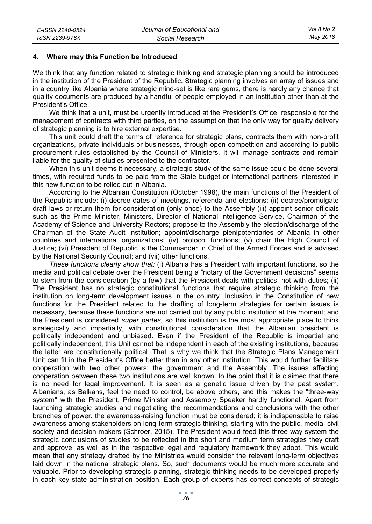### **4. Where may this Function be Introduced**

We think that any function related to strategic thinking and strategic planning should be introduced in the institution of the President of the Republic. Strategic planning involves an array of issues and in a country like Albania where strategic mind-set is like rare gems, there is hardly any chance that quality documents are produced by a handful of people employed in an institution other than at the President's Office.

We think that a unit, must be urgently introduced at the President's Office, responsible for the management of contracts with third parties, on the assumption that the only way for quality delivery of strategic planning is to hire external expertise.

This unit could draft the terms of reference for strategic plans, contracts them with non-profit organizations, private individuals or businesses, through open competition and according to public procurement rules established by the Council of Ministers. It will manage contracts and remain liable for the quality of studies presented to the contractor.

When this unit deems it necessary, a strategic study of the same issue could be done several times, with required funds to be paid from the State budget or international partners interested in this new function to be rolled out in Albania.

According to the Albanian Constitution (October 1998), the main functions of the President of the Republic include: (i) decree dates of meetings, referenda and elections; (ii) decree/promulgate draft laws or return them for consideration (only once) to the Assembly (iii) appoint senior officials such as the Prime Minister, Ministers, Director of National Intelligence Service, Chairman of the Academy of Science and University Rectors; propose to the Assembly the election/discharge of the Chairman of the State Audit Institution; appoint/discharge plenipotentiaries of Albania in other countries and international organizations; (iv) protocol functions; (v) chair the High Council of Justice; (vi) President of Republic is the Commander in Chief of the Armed Forces and is advised by the National Security Council; and (vii) other functions.

*These functions clearly show that:* (i) Albania has a President with important functions, so the media and political debate over the President being a "notary of the Government decisions" seems to stem from the consideration (by a few) that the President deals with politics, not with duties; (ii) The President has no strategic constitutional functions that require strategic thinking from the institution on long-term development issues in the country. Inclusion in the Constitution of new functions for the President related to the drafting of long-term strategies for certain issues is necessary, because these functions are not carried out by any public institution at the moment; and the President is considered *super partes,* so this institution is the most appropriate place to think strategically and impartially, with constitutional consideration that the Albanian president is politically independent and unbiased. Even if the President of the Republic is impartial and politically independent, this Unit cannot be independent in each of the existing institutions, because the latter are constitutionally political. That is why we think that the Strategic Plans Management Unit can fit in the President's Office better than in any other institution. This would further facilitate cooperation with two other powers: the government and the Assembly. The issues affecting cooperation between these two institutions are well known, to the point that it is claimed that there is no need for legal improvement. It is seen as a genetic issue driven by the past system. Albanians, as Balkans, feel the need to control, be above others, and this makes the "three-way system" with the President, Prime Minister and Assembly Speaker hardly functional. Apart from launching strategic studies and negotiating the recommendations and conclusions with the other branches of power, the awareness-raising function must be considered; it is indispensable to raise awareness among stakeholders on long-term strategic thinking, starting with the public, media, civil society and decision-makers (Schroer, 2015). The President would feed this three-way system the strategic conclusions of studies to be reflected in the short and medium term strategies they draft and approve, as well as in the respective legal and regulatory framework they adopt. This would mean that any strategy drafted by the Ministries would consider the relevant long-term objectives laid down in the national strategic plans. So, such documents would be much more accurate and valuable. Prior to developing strategic planning, strategic thinking needs to be developed properly in each key state administration position. Each group of experts has correct concepts of strategic